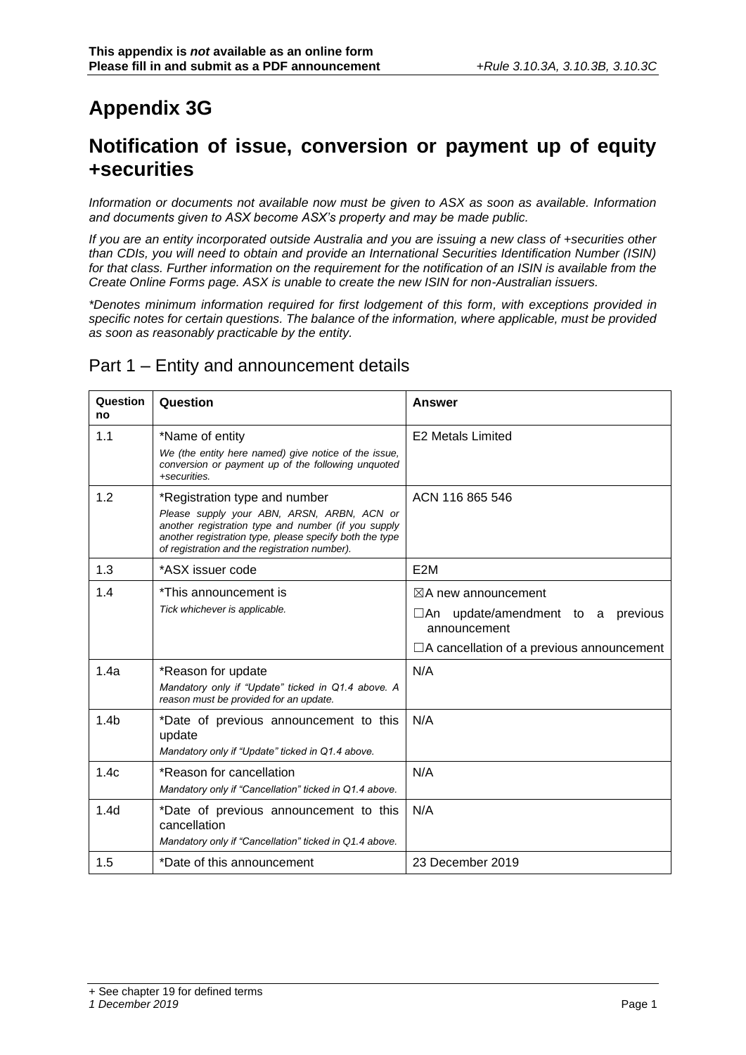# **Appendix 3G**

## **Notification of issue, conversion or payment up of equity +securities**

*Information or documents not available now must be given to ASX as soon as available. Information and documents given to ASX become ASX's property and may be made public.*

*If you are an entity incorporated outside Australia and you are issuing a new class of +securities other than CDIs, you will need to obtain and provide an International Securities Identification Number (ISIN)*  for that class. Further information on the requirement for the notification of an ISIN is available from the *Create Online Forms page. ASX is unable to create the new ISIN for non-Australian issuers.*

*\*Denotes minimum information required for first lodgement of this form, with exceptions provided in specific notes for certain questions. The balance of the information, where applicable, must be provided as soon as reasonably practicable by the entity.*

#### Part 1 – Entity and announcement details

| Question<br>no   | Question                                                                                                                                                                                                      | <b>Answer</b>                                            |
|------------------|---------------------------------------------------------------------------------------------------------------------------------------------------------------------------------------------------------------|----------------------------------------------------------|
| 1.1              | *Name of entity                                                                                                                                                                                               | <b>E2 Metals Limited</b>                                 |
|                  | We (the entity here named) give notice of the issue,<br>conversion or payment up of the following unquoted<br>+securities.                                                                                    |                                                          |
| 1.2              | *Registration type and number                                                                                                                                                                                 | ACN 116 865 546                                          |
|                  | Please supply your ABN, ARSN, ARBN, ACN or<br>another registration type and number (if you supply<br>another registration type, please specify both the type<br>of registration and the registration number). |                                                          |
| 1.3              | *ASX issuer code                                                                                                                                                                                              | E <sub>2</sub> M                                         |
| 1.4              | *This announcement is                                                                                                                                                                                         | $\boxtimes$ A new announcement                           |
|                  | Tick whichever is applicable.                                                                                                                                                                                 | update/amendment to a<br>previous<br>∟An<br>announcement |
|                  |                                                                                                                                                                                                               | $\Box$ A cancellation of a previous announcement         |
| 1.4a             | *Reason for update                                                                                                                                                                                            | N/A                                                      |
|                  | Mandatory only if "Update" ticked in Q1.4 above. A<br>reason must be provided for an update.                                                                                                                  |                                                          |
| 1.4 <sub>b</sub> | *Date of previous announcement to this                                                                                                                                                                        | N/A                                                      |
|                  | update<br>Mandatory only if "Update" ticked in Q1.4 above.                                                                                                                                                    |                                                          |
| 1.4c             | *Reason for cancellation                                                                                                                                                                                      | N/A                                                      |
|                  | Mandatory only if "Cancellation" ticked in Q1.4 above.                                                                                                                                                        |                                                          |
| 1.4 <sub>d</sub> | *Date of previous announcement to this<br>cancellation<br>Mandatory only if "Cancellation" ticked in Q1.4 above.                                                                                              | N/A                                                      |
| 1.5              | *Date of this announcement                                                                                                                                                                                    | 23 December 2019                                         |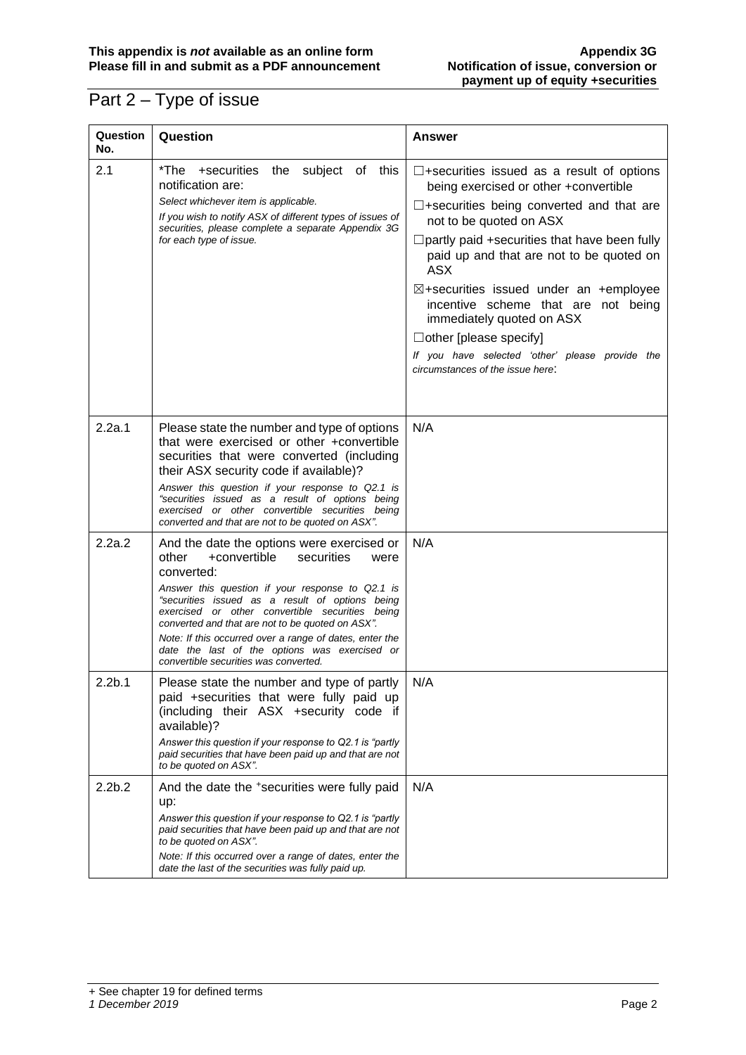### Part 2 – Type of issue

| Question<br>No.    | Question                                                                                                                                                                                                                                                                                                                                                                                                                                                                   | Answer                                                                                                                                                                                                                                                                                                                                                                                                                                                                                                                                   |
|--------------------|----------------------------------------------------------------------------------------------------------------------------------------------------------------------------------------------------------------------------------------------------------------------------------------------------------------------------------------------------------------------------------------------------------------------------------------------------------------------------|------------------------------------------------------------------------------------------------------------------------------------------------------------------------------------------------------------------------------------------------------------------------------------------------------------------------------------------------------------------------------------------------------------------------------------------------------------------------------------------------------------------------------------------|
| 2.1                | *The +securities the subject of this<br>notification are:<br>Select whichever item is applicable.<br>If you wish to notify ASX of different types of issues of<br>securities, please complete a separate Appendix 3G<br>for each type of issue.                                                                                                                                                                                                                            | $\square$ +securities issued as a result of options<br>being exercised or other +convertible<br>$\square$ +securities being converted and that are<br>not to be quoted on ASX<br>$\Box$ partly paid +securities that have been fully<br>paid up and that are not to be quoted on<br>ASX<br>$\boxtimes$ +securities issued under an +employee<br>incentive scheme that are not being<br>immediately quoted on ASX<br>$\Box$ other [please specify]<br>If you have selected 'other' please provide the<br>circumstances of the issue here: |
| 2.2a.1             | Please state the number and type of options<br>that were exercised or other +convertible<br>securities that were converted (including<br>their ASX security code if available)?<br>Answer this question if your response to Q2.1 is<br>"securities issued as a result of options being<br>exercised or other convertible securities being<br>converted and that are not to be quoted on ASX".                                                                              | N/A                                                                                                                                                                                                                                                                                                                                                                                                                                                                                                                                      |
| 2.2a.2             | And the date the options were exercised or<br>other<br>+convertible<br>securities<br>were<br>converted:<br>Answer this question if your response to Q2.1 is<br>"securities issued as a result of options being<br>exercised or other convertible securities being<br>converted and that are not to be quoted on ASX".<br>Note: If this occurred over a range of dates, enter the<br>date the last of the options was exercised or<br>convertible securities was converted. | N/A                                                                                                                                                                                                                                                                                                                                                                                                                                                                                                                                      |
| 2.2 <sub>b.1</sub> | Please state the number and type of partly<br>paid +securities that were fully paid up<br>(including their ASX +security code if<br>available)?<br>Answer this question if your response to Q2.1 is "partly<br>paid securities that have been paid up and that are not<br>to be quoted on ASX".                                                                                                                                                                            | N/A                                                                                                                                                                                                                                                                                                                                                                                                                                                                                                                                      |
| 2.2 <sub>b.2</sub> | And the date the +securities were fully paid<br>up:<br>Answer this question if your response to Q2.1 is "partly<br>paid securities that have been paid up and that are not<br>to be quoted on ASX".<br>Note: If this occurred over a range of dates, enter the<br>date the last of the securities was fully paid up.                                                                                                                                                       | N/A                                                                                                                                                                                                                                                                                                                                                                                                                                                                                                                                      |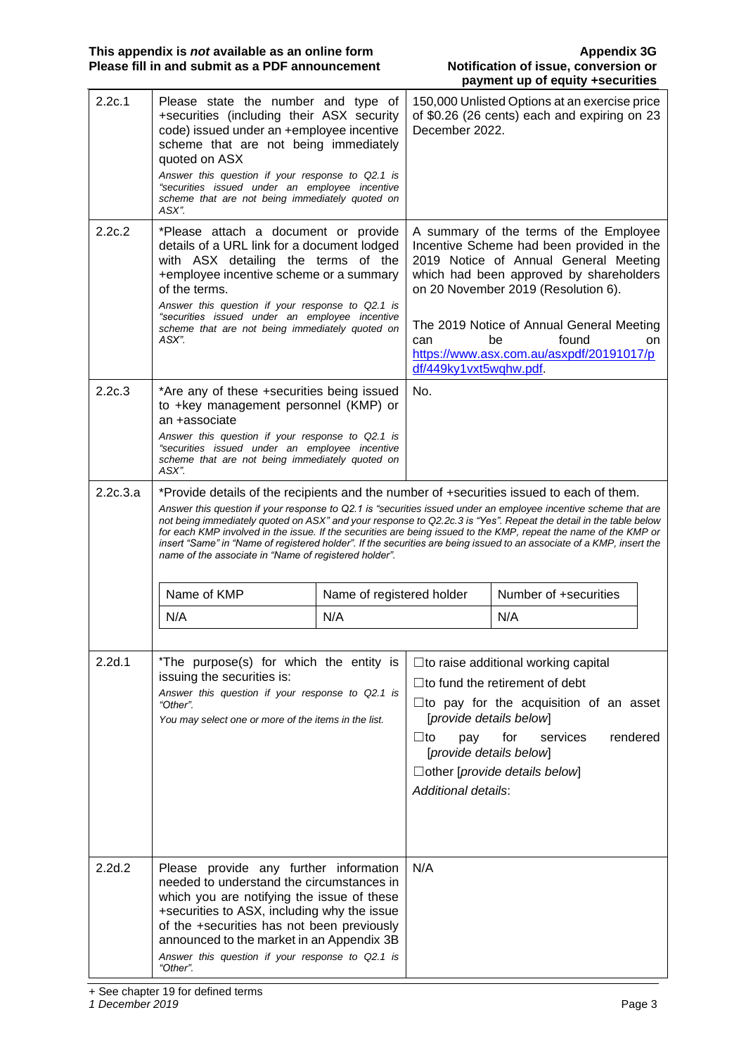| 2.2c.1   | Please state the number and type of<br>+securities (including their ASX security<br>code) issued under an +employee incentive<br>scheme that are not being immediately<br>quoted on ASX<br>Answer this question if your response to Q2.1 is<br>"securities issued under an employee incentive<br>scheme that are not being immediately quoted on<br>ASX".                                                                                                                                                                                                                                                                             |                           | December 2022.                                                                                  | 150,000 Unlisted Options at an exercise price<br>of \$0.26 (26 cents) each and expiring on 23                                                                                                                                                                                                                          |    |
|----------|---------------------------------------------------------------------------------------------------------------------------------------------------------------------------------------------------------------------------------------------------------------------------------------------------------------------------------------------------------------------------------------------------------------------------------------------------------------------------------------------------------------------------------------------------------------------------------------------------------------------------------------|---------------------------|-------------------------------------------------------------------------------------------------|------------------------------------------------------------------------------------------------------------------------------------------------------------------------------------------------------------------------------------------------------------------------------------------------------------------------|----|
| 2.2c.2   | *Please attach a document or provide<br>details of a URL link for a document lodged<br>with ASX detailing the terms of the<br>+employee incentive scheme or a summary<br>of the terms.<br>Answer this question if your response to Q2.1 is<br>"securities issued under an employee incentive<br>scheme that are not being immediately quoted on<br>ASX".                                                                                                                                                                                                                                                                              |                           | can<br>df/449ky1vxt5wqhw.pdf.                                                                   | A summary of the terms of the Employee<br>Incentive Scheme had been provided in the<br>2019 Notice of Annual General Meeting<br>which had been approved by shareholders<br>on 20 November 2019 (Resolution 6).<br>The 2019 Notice of Annual General Meeting<br>found<br>be<br>https://www.asx.com.au/asxpdf/20191017/p | on |
| 2.2c.3   | *Are any of these +securities being issued<br>to +key management personnel (KMP) or<br>an +associate<br>Answer this question if your response to Q2.1 is<br>"securities issued under an employee incentive<br>scheme that are not being immediately quoted on<br>ASX".                                                                                                                                                                                                                                                                                                                                                                |                           | No.                                                                                             |                                                                                                                                                                                                                                                                                                                        |    |
| 2.2c.3.a | *Provide details of the recipients and the number of +securities issued to each of them.<br>Answer this question if your response to Q2.1 is "securities issued under an employee incentive scheme that are<br>not being immediately quoted on ASX" and your response to Q2.2c.3 is "Yes". Repeat the detail in the table below<br>for each KMP involved in the issue. If the securities are being issued to the KMP, repeat the name of the KMP or<br>insert "Same" in "Name of registered holder". If the securities are being issued to an associate of a KMP, insert the<br>name of the associate in "Name of registered holder". |                           |                                                                                                 |                                                                                                                                                                                                                                                                                                                        |    |
|          | Name of KMP                                                                                                                                                                                                                                                                                                                                                                                                                                                                                                                                                                                                                           | Name of registered holder |                                                                                                 | Number of +securities                                                                                                                                                                                                                                                                                                  |    |
|          | N/A                                                                                                                                                                                                                                                                                                                                                                                                                                                                                                                                                                                                                                   | N/A                       |                                                                                                 | N/A                                                                                                                                                                                                                                                                                                                    |    |
| 2.2d.1   | *The purpose(s) for which the entity is<br>issuing the securities is:<br>Answer this question if your response to Q2.1 is<br>"Other".<br>You may select one or more of the items in the list.                                                                                                                                                                                                                                                                                                                                                                                                                                         |                           | [provide details below]<br>$\sqcup$ to<br>pay<br>[provide details below]<br>Additional details: | $\square$ to raise additional working capital<br>$\Box$ to fund the retirement of debt<br>$\square$ to pay for the acquisition of an asset<br>for<br>services<br>rendered<br>$\Box$ other [provide details below]                                                                                                      |    |
| 2.2d.2   | Please provide any further information<br>needed to understand the circumstances in<br>which you are notifying the issue of these<br>+securities to ASX, including why the issue<br>of the +securities has not been previously<br>announced to the market in an Appendix 3B<br>Answer this question if your response to Q2.1 is<br>"Other".                                                                                                                                                                                                                                                                                           |                           | N/A                                                                                             |                                                                                                                                                                                                                                                                                                                        |    |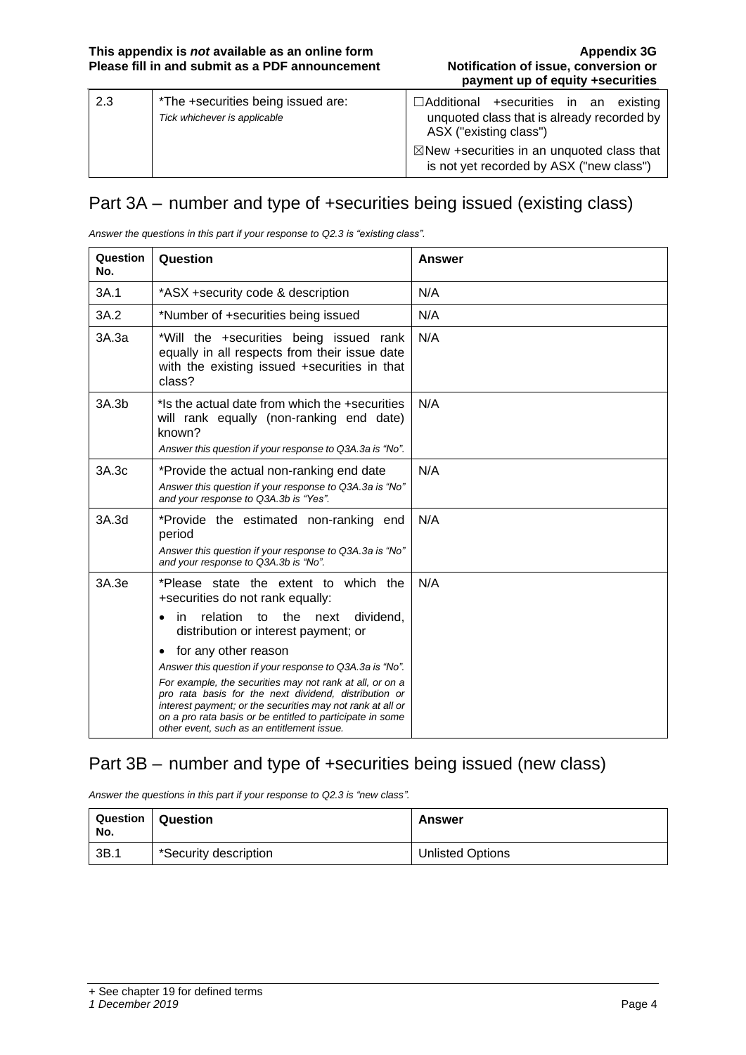| 2.3 | *The +securities being issued are:<br>Tick whichever is applicable | $\Box$ Additional +securities in an existing<br>unquoted class that is already recorded by<br>ASX ("existing class") |
|-----|--------------------------------------------------------------------|----------------------------------------------------------------------------------------------------------------------|
|     |                                                                    | $\boxtimes$ New +securities in an unquoted class that<br>is not yet recorded by ASX ("new class")                    |

### Part 3A – number and type of +securities being issued (existing class)

*Answer the questions in this part if your response to Q2.3 is "existing class".*

| Question<br>No. | Question                                                                                                                                                                                                                                                                                                                                                                                                                                                                                                                                                                   | Answer |
|-----------------|----------------------------------------------------------------------------------------------------------------------------------------------------------------------------------------------------------------------------------------------------------------------------------------------------------------------------------------------------------------------------------------------------------------------------------------------------------------------------------------------------------------------------------------------------------------------------|--------|
| 3A.1            | *ASX +security code & description                                                                                                                                                                                                                                                                                                                                                                                                                                                                                                                                          | N/A    |
| 3A.2            | *Number of +securities being issued                                                                                                                                                                                                                                                                                                                                                                                                                                                                                                                                        | N/A    |
| 3A.3a           | *Will the +securities being issued rank<br>equally in all respects from their issue date<br>with the existing issued +securities in that<br>class?                                                                                                                                                                                                                                                                                                                                                                                                                         | N/A    |
| 3A.3b           | *Is the actual date from which the +securities<br>will rank equally (non-ranking end date)<br>known?<br>Answer this question if your response to Q3A.3a is "No".                                                                                                                                                                                                                                                                                                                                                                                                           | N/A    |
| 3A.3c           | *Provide the actual non-ranking end date<br>Answer this question if your response to Q3A.3a is "No"<br>and your response to Q3A.3b is "Yes".                                                                                                                                                                                                                                                                                                                                                                                                                               | N/A    |
| 3A.3d           | *Provide the estimated non-ranking end<br>period<br>Answer this question if your response to Q3A.3a is "No"<br>and your response to Q3A.3b is "No".                                                                                                                                                                                                                                                                                                                                                                                                                        | N/A    |
| 3A.3e           | *Please state the extent to which the<br>+securities do not rank equally:<br>relation<br>the<br>dividend,<br>to<br>next<br>in.<br>٠<br>distribution or interest payment; or<br>for any other reason<br>$\bullet$<br>Answer this question if your response to Q3A.3a is "No".<br>For example, the securities may not rank at all, or on a<br>pro rata basis for the next dividend, distribution or<br>interest payment; or the securities may not rank at all or<br>on a pro rata basis or be entitled to participate in some<br>other event, such as an entitlement issue. | N/A    |

#### Part 3B – number and type of +securities being issued (new class)

*Answer the questions in this part if your response to Q2.3 is "new class".*

| Question<br>No. | <b>∣ Question</b>     | Answer                  |
|-----------------|-----------------------|-------------------------|
| 3B.1            | *Security description | <b>Unlisted Options</b> |

<sup>+</sup> See chapter 19 for defined terms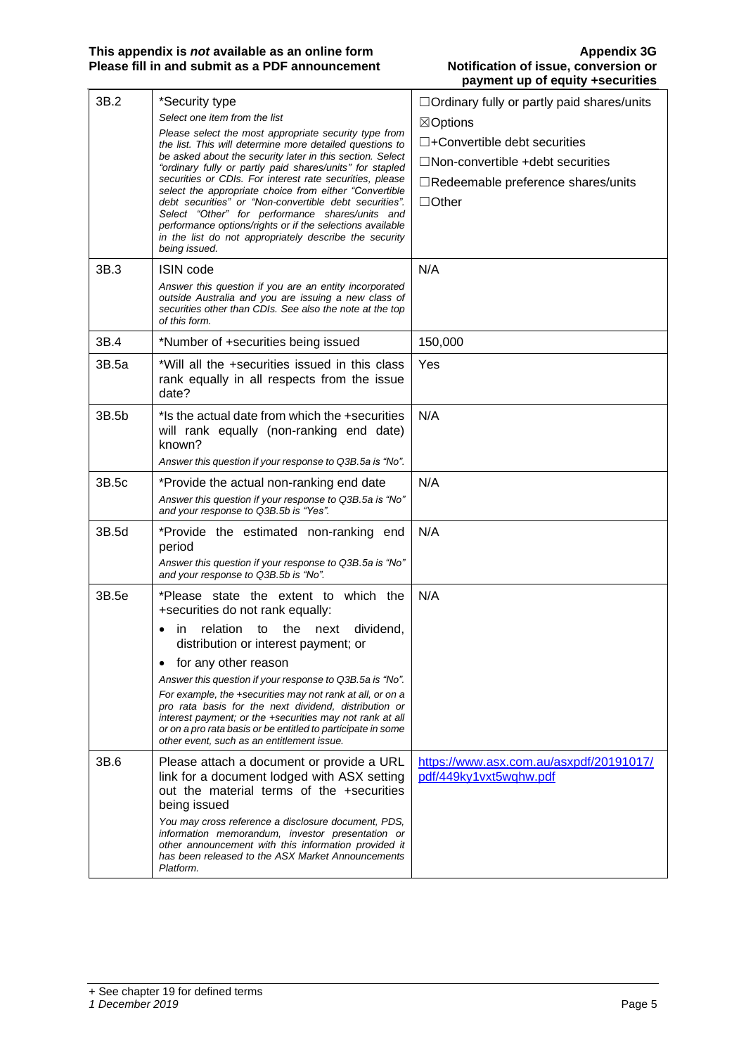| 3B.2  | *Security type                                                                                                           | □ Ordinary fully or partly paid shares/units                      |
|-------|--------------------------------------------------------------------------------------------------------------------------|-------------------------------------------------------------------|
|       | Select one item from the list                                                                                            | $\boxtimes$ Options                                               |
|       | Please select the most appropriate security type from<br>the list. This will determine more detailed questions to        | $\Box$ +Convertible debt securities                               |
|       | be asked about the security later in this section. Select                                                                | $\Box$ Non-convertible +debt securities                           |
|       | "ordinary fully or partly paid shares/units" for stapled<br>securities or CDIs. For interest rate securities, please     | $\Box$ Redeemable preference shares/units                         |
|       | select the appropriate choice from either "Convertible"<br>debt securities" or "Non-convertible debt securities".        | $\Box$ Other                                                      |
|       | Select "Other" for performance shares/units and<br>performance options/rights or if the selections available             |                                                                   |
|       | in the list do not appropriately describe the security<br>being issued.                                                  |                                                                   |
| 3B.3  | <b>ISIN code</b>                                                                                                         | N/A                                                               |
|       | Answer this question if you are an entity incorporated                                                                   |                                                                   |
|       | outside Australia and you are issuing a new class of<br>securities other than CDIs. See also the note at the top         |                                                                   |
|       | of this form.                                                                                                            |                                                                   |
| 3B.4  | *Number of +securities being issued                                                                                      | 150,000                                                           |
| 3B.5a | *Will all the +securities issued in this class<br>rank equally in all respects from the issue                            | Yes                                                               |
|       | date?                                                                                                                    |                                                                   |
| 3B.5b | * Is the actual date from which the +securities                                                                          | N/A                                                               |
|       | will rank equally (non-ranking end date)                                                                                 |                                                                   |
|       | known?<br>Answer this question if your response to Q3B 5a is "No".                                                       |                                                                   |
| 3B.5c | *Provide the actual non-ranking end date                                                                                 | N/A                                                               |
|       | Answer this question if your response to Q3B.5a is "No"                                                                  |                                                                   |
|       | and your response to Q3B.5b is "Yes".                                                                                    |                                                                   |
| 3B.5d | *Provide the estimated non-ranking end<br>period                                                                         | N/A                                                               |
|       | Answer this question if your response to Q3B.5a is "No"<br>and your response to Q3B.5b is "No".                          |                                                                   |
| 3B.5e | *Please state the extent to which the<br>+securities do not rank equally:                                                | N/A                                                               |
|       | relation<br>dividend,<br>to<br>the<br>next<br>in<br>distribution or interest payment; or                                 |                                                                   |
|       | for any other reason<br>$\bullet$                                                                                        |                                                                   |
|       | Answer this question if your response to Q3B.5a is "No".                                                                 |                                                                   |
|       | For example, the +securities may not rank at all, or on a<br>pro rata basis for the next dividend, distribution or       |                                                                   |
|       | interest payment; or the +securities may not rank at all<br>or on a pro rata basis or be entitled to participate in some |                                                                   |
|       | other event, such as an entitlement issue.                                                                               |                                                                   |
| 3B.6  | Please attach a document or provide a URL<br>link for a document lodged with ASX setting                                 | https://www.asx.com.au/asxpdf/20191017/<br>pdf/449ky1vxt5wqhw.pdf |
|       | out the material terms of the +securities                                                                                |                                                                   |
|       | being issued                                                                                                             |                                                                   |
|       | You may cross reference a disclosure document, PDS,<br>information memorandum, investor presentation or                  |                                                                   |
|       | other announcement with this information provided it                                                                     |                                                                   |
|       | has been released to the ASX Market Announcements<br>Platform.                                                           |                                                                   |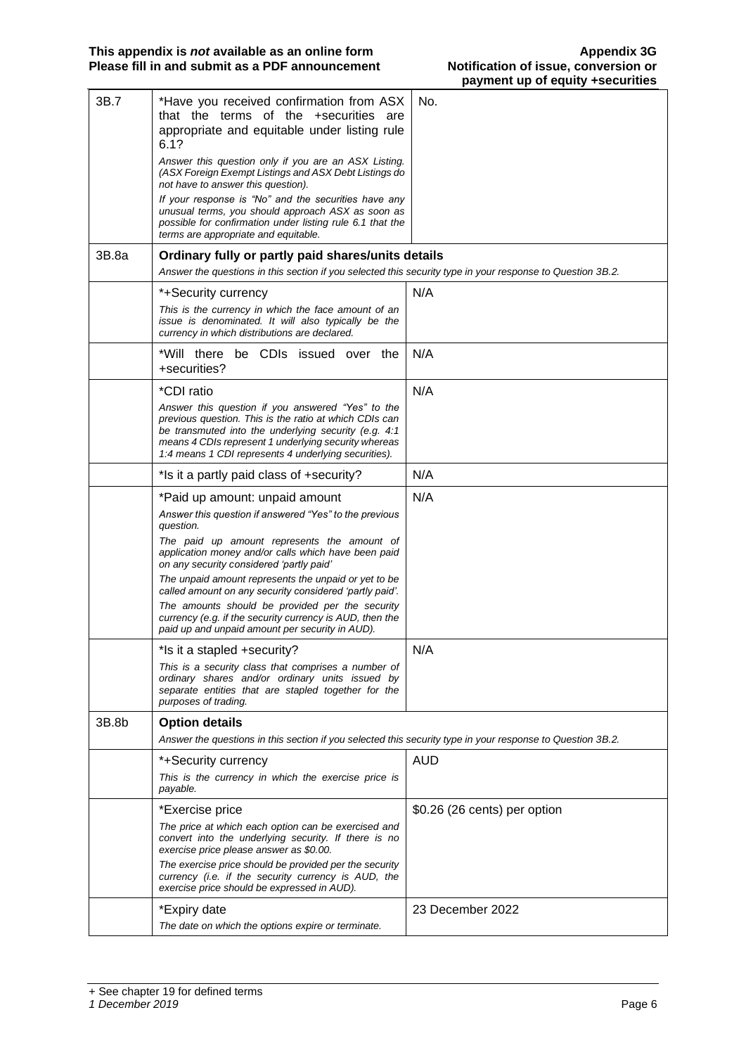| 3B.7  | *Have you received confirmation from ASX<br>that the terms of the +securities are<br>appropriate and equitable under listing rule<br>6.1?<br>Answer this question only if you are an ASX Listing.<br>(ASX Foreign Exempt Listings and ASX Debt Listings do<br>not have to answer this question).<br>If your response is "No" and the securities have any<br>unusual terms, you should approach ASX as soon as<br>possible for confirmation under listing rule 6.1 that the<br>terms are appropriate and equitable. | No.                          |
|-------|--------------------------------------------------------------------------------------------------------------------------------------------------------------------------------------------------------------------------------------------------------------------------------------------------------------------------------------------------------------------------------------------------------------------------------------------------------------------------------------------------------------------|------------------------------|
| 3B.8a | Ordinary fully or partly paid shares/units details<br>Answer the questions in this section if you selected this security type in your response to Question 3B.2.                                                                                                                                                                                                                                                                                                                                                   |                              |
|       | *+Security currency<br>This is the currency in which the face amount of an<br>issue is denominated. It will also typically be the<br>currency in which distributions are declared.                                                                                                                                                                                                                                                                                                                                 | N/A                          |
|       | *Will there be CDIs issued over the<br>+securities?                                                                                                                                                                                                                                                                                                                                                                                                                                                                | N/A                          |
|       | *CDI ratio<br>Answer this question if you answered "Yes" to the<br>previous question. This is the ratio at which CDIs can<br>be transmuted into the underlying security (e.g. 4:1<br>means 4 CDIs represent 1 underlying security whereas<br>1:4 means 1 CDI represents 4 underlying securities).                                                                                                                                                                                                                  | N/A                          |
|       | *Is it a partly paid class of +security?                                                                                                                                                                                                                                                                                                                                                                                                                                                                           | N/A                          |
|       | *Paid up amount: unpaid amount<br>Answer this question if answered "Yes" to the previous<br>question.<br>The paid up amount represents the amount of<br>application money and/or calls which have been paid<br>on any security considered 'partly paid'<br>The unpaid amount represents the unpaid or yet to be<br>called amount on any security considered 'partly paid'.<br>The amounts should be provided per the security<br>currency (e.g. if the security currency is AUD, then the                          | N/A                          |
|       | paid up and unpaid amount per security in AUD).                                                                                                                                                                                                                                                                                                                                                                                                                                                                    |                              |
|       | *Is it a stapled +security?<br>This is a security class that comprises a number of<br>ordinary shares and/or ordinary units issued by<br>separate entities that are stapled together for the<br>purposes of trading.                                                                                                                                                                                                                                                                                               | N/A                          |
| 3B.8b | <b>Option details</b>                                                                                                                                                                                                                                                                                                                                                                                                                                                                                              |                              |
|       | Answer the questions in this section if you selected this security type in your response to Question 3B.2.                                                                                                                                                                                                                                                                                                                                                                                                         |                              |
|       | *+Security currency<br>This is the currency in which the exercise price is<br>payable.                                                                                                                                                                                                                                                                                                                                                                                                                             | <b>AUD</b>                   |
|       | *Exercise price<br>The price at which each option can be exercised and<br>convert into the underlying security. If there is no<br>exercise price please answer as \$0.00.<br>The exercise price should be provided per the security<br>currency (i.e. if the security currency is AUD, the<br>exercise price should be expressed in AUD).                                                                                                                                                                          | \$0.26 (26 cents) per option |
|       | *Expiry date<br>The date on which the options expire or terminate.                                                                                                                                                                                                                                                                                                                                                                                                                                                 | 23 December 2022             |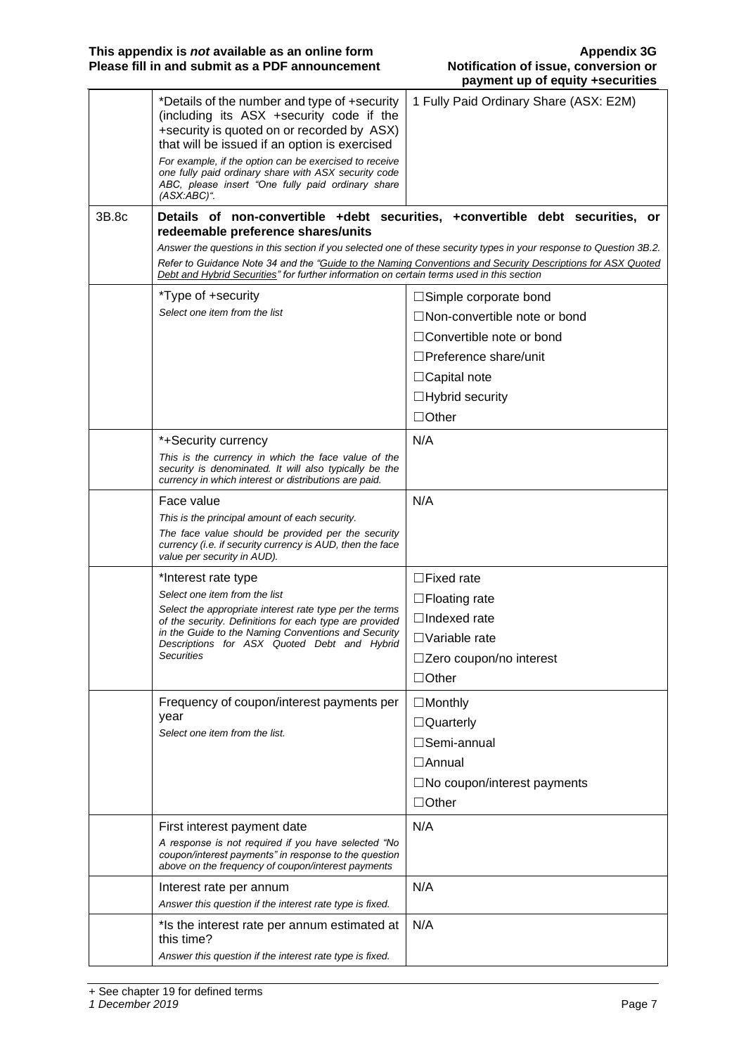| 3B.8c<br>Details of non-convertible +debt securities, +convertible debt securities, or<br>redeemable preference shares/units<br>Answer the questions in this section if you selected one of these security types in your response to Question 3B.2.<br>Refer to Guidance Note 34 and the "Guide to the Naming Conventions and Security Descriptions for ASX Quoted<br>Debt and Hybrid Securities" for further information on certain terms used in this section<br>*Type of +security<br>$\Box$ Simple corporate bond<br>Select one item from the list<br>$\Box$ Non-convertible note or bond<br>$\Box$ Convertible note or bond<br>$\Box$ Preference share/unit<br>$\Box$ Capital note<br>$\Box$ Hybrid security<br>$\Box$ Other<br>N/A<br>*+Security currency<br>This is the currency in which the face value of the<br>security is denominated. It will also typically be the<br>currency in which interest or distributions are paid.<br>N/A<br>Face value<br>This is the principal amount of each security.<br>The face value should be provided per the security<br>currency (i.e. if security currency is AUD, then the face<br>value per security in AUD).<br>*Interest rate type<br>$\Box$ Fixed rate<br>Select one item from the list<br>$\Box$ Floating rate<br>Select the appropriate interest rate type per the terms<br>$\Box$ Indexed rate<br>of the security. Definitions for each type are provided<br>in the Guide to the Naming Conventions and Security<br>$\Box$ Variable rate<br>Descriptions for ASX Quoted Debt and Hybrid<br><b>Securities</b><br>□Zero coupon/no interest<br>$\Box$ Other<br>Frequency of coupon/interest payments per<br>$\Box$ Monthly<br>year<br>$\Box$ Quarterly<br>Select one item from the list.<br>□Semi-annual<br>$\Box$ Annual<br>$\square$ No coupon/interest payments<br>$\Box$ Other<br>N/A<br>First interest payment date<br>A response is not required if you have selected "No<br>coupon/interest payments" in response to the question<br>above on the frequency of coupon/interest payments<br>N/A<br>Interest rate per annum<br>Answer this question if the interest rate type is fixed.<br>N/A<br>*Is the interest rate per annum estimated at<br>this time? | *Details of the number and type of +security<br>(including its ASX +security code if the<br>+security is quoted on or recorded by ASX)<br>that will be issued if an option is exercised<br>For example, if the option can be exercised to receive<br>one fully paid ordinary share with ASX security code<br>ABC, please insert "One fully paid ordinary share<br>$(ASK:ABC)^{n}$ . | 1 Fully Paid Ordinary Share (ASX: E2M) |
|---------------------------------------------------------------------------------------------------------------------------------------------------------------------------------------------------------------------------------------------------------------------------------------------------------------------------------------------------------------------------------------------------------------------------------------------------------------------------------------------------------------------------------------------------------------------------------------------------------------------------------------------------------------------------------------------------------------------------------------------------------------------------------------------------------------------------------------------------------------------------------------------------------------------------------------------------------------------------------------------------------------------------------------------------------------------------------------------------------------------------------------------------------------------------------------------------------------------------------------------------------------------------------------------------------------------------------------------------------------------------------------------------------------------------------------------------------------------------------------------------------------------------------------------------------------------------------------------------------------------------------------------------------------------------------------------------------------------------------------------------------------------------------------------------------------------------------------------------------------------------------------------------------------------------------------------------------------------------------------------------------------------------------------------------------------------------------------------------------------------------------------------------------------------------------------------------------------------------|-------------------------------------------------------------------------------------------------------------------------------------------------------------------------------------------------------------------------------------------------------------------------------------------------------------------------------------------------------------------------------------|----------------------------------------|
|                                                                                                                                                                                                                                                                                                                                                                                                                                                                                                                                                                                                                                                                                                                                                                                                                                                                                                                                                                                                                                                                                                                                                                                                                                                                                                                                                                                                                                                                                                                                                                                                                                                                                                                                                                                                                                                                                                                                                                                                                                                                                                                                                                                                                           |                                                                                                                                                                                                                                                                                                                                                                                     |                                        |
|                                                                                                                                                                                                                                                                                                                                                                                                                                                                                                                                                                                                                                                                                                                                                                                                                                                                                                                                                                                                                                                                                                                                                                                                                                                                                                                                                                                                                                                                                                                                                                                                                                                                                                                                                                                                                                                                                                                                                                                                                                                                                                                                                                                                                           |                                                                                                                                                                                                                                                                                                                                                                                     |                                        |
|                                                                                                                                                                                                                                                                                                                                                                                                                                                                                                                                                                                                                                                                                                                                                                                                                                                                                                                                                                                                                                                                                                                                                                                                                                                                                                                                                                                                                                                                                                                                                                                                                                                                                                                                                                                                                                                                                                                                                                                                                                                                                                                                                                                                                           |                                                                                                                                                                                                                                                                                                                                                                                     |                                        |
|                                                                                                                                                                                                                                                                                                                                                                                                                                                                                                                                                                                                                                                                                                                                                                                                                                                                                                                                                                                                                                                                                                                                                                                                                                                                                                                                                                                                                                                                                                                                                                                                                                                                                                                                                                                                                                                                                                                                                                                                                                                                                                                                                                                                                           |                                                                                                                                                                                                                                                                                                                                                                                     |                                        |
|                                                                                                                                                                                                                                                                                                                                                                                                                                                                                                                                                                                                                                                                                                                                                                                                                                                                                                                                                                                                                                                                                                                                                                                                                                                                                                                                                                                                                                                                                                                                                                                                                                                                                                                                                                                                                                                                                                                                                                                                                                                                                                                                                                                                                           |                                                                                                                                                                                                                                                                                                                                                                                     |                                        |
|                                                                                                                                                                                                                                                                                                                                                                                                                                                                                                                                                                                                                                                                                                                                                                                                                                                                                                                                                                                                                                                                                                                                                                                                                                                                                                                                                                                                                                                                                                                                                                                                                                                                                                                                                                                                                                                                                                                                                                                                                                                                                                                                                                                                                           |                                                                                                                                                                                                                                                                                                                                                                                     |                                        |
|                                                                                                                                                                                                                                                                                                                                                                                                                                                                                                                                                                                                                                                                                                                                                                                                                                                                                                                                                                                                                                                                                                                                                                                                                                                                                                                                                                                                                                                                                                                                                                                                                                                                                                                                                                                                                                                                                                                                                                                                                                                                                                                                                                                                                           |                                                                                                                                                                                                                                                                                                                                                                                     |                                        |
|                                                                                                                                                                                                                                                                                                                                                                                                                                                                                                                                                                                                                                                                                                                                                                                                                                                                                                                                                                                                                                                                                                                                                                                                                                                                                                                                                                                                                                                                                                                                                                                                                                                                                                                                                                                                                                                                                                                                                                                                                                                                                                                                                                                                                           |                                                                                                                                                                                                                                                                                                                                                                                     |                                        |
|                                                                                                                                                                                                                                                                                                                                                                                                                                                                                                                                                                                                                                                                                                                                                                                                                                                                                                                                                                                                                                                                                                                                                                                                                                                                                                                                                                                                                                                                                                                                                                                                                                                                                                                                                                                                                                                                                                                                                                                                                                                                                                                                                                                                                           |                                                                                                                                                                                                                                                                                                                                                                                     |                                        |
|                                                                                                                                                                                                                                                                                                                                                                                                                                                                                                                                                                                                                                                                                                                                                                                                                                                                                                                                                                                                                                                                                                                                                                                                                                                                                                                                                                                                                                                                                                                                                                                                                                                                                                                                                                                                                                                                                                                                                                                                                                                                                                                                                                                                                           |                                                                                                                                                                                                                                                                                                                                                                                     |                                        |
|                                                                                                                                                                                                                                                                                                                                                                                                                                                                                                                                                                                                                                                                                                                                                                                                                                                                                                                                                                                                                                                                                                                                                                                                                                                                                                                                                                                                                                                                                                                                                                                                                                                                                                                                                                                                                                                                                                                                                                                                                                                                                                                                                                                                                           |                                                                                                                                                                                                                                                                                                                                                                                     |                                        |
|                                                                                                                                                                                                                                                                                                                                                                                                                                                                                                                                                                                                                                                                                                                                                                                                                                                                                                                                                                                                                                                                                                                                                                                                                                                                                                                                                                                                                                                                                                                                                                                                                                                                                                                                                                                                                                                                                                                                                                                                                                                                                                                                                                                                                           |                                                                                                                                                                                                                                                                                                                                                                                     |                                        |
|                                                                                                                                                                                                                                                                                                                                                                                                                                                                                                                                                                                                                                                                                                                                                                                                                                                                                                                                                                                                                                                                                                                                                                                                                                                                                                                                                                                                                                                                                                                                                                                                                                                                                                                                                                                                                                                                                                                                                                                                                                                                                                                                                                                                                           |                                                                                                                                                                                                                                                                                                                                                                                     |                                        |
|                                                                                                                                                                                                                                                                                                                                                                                                                                                                                                                                                                                                                                                                                                                                                                                                                                                                                                                                                                                                                                                                                                                                                                                                                                                                                                                                                                                                                                                                                                                                                                                                                                                                                                                                                                                                                                                                                                                                                                                                                                                                                                                                                                                                                           |                                                                                                                                                                                                                                                                                                                                                                                     |                                        |
|                                                                                                                                                                                                                                                                                                                                                                                                                                                                                                                                                                                                                                                                                                                                                                                                                                                                                                                                                                                                                                                                                                                                                                                                                                                                                                                                                                                                                                                                                                                                                                                                                                                                                                                                                                                                                                                                                                                                                                                                                                                                                                                                                                                                                           |                                                                                                                                                                                                                                                                                                                                                                                     |                                        |
|                                                                                                                                                                                                                                                                                                                                                                                                                                                                                                                                                                                                                                                                                                                                                                                                                                                                                                                                                                                                                                                                                                                                                                                                                                                                                                                                                                                                                                                                                                                                                                                                                                                                                                                                                                                                                                                                                                                                                                                                                                                                                                                                                                                                                           |                                                                                                                                                                                                                                                                                                                                                                                     |                                        |
|                                                                                                                                                                                                                                                                                                                                                                                                                                                                                                                                                                                                                                                                                                                                                                                                                                                                                                                                                                                                                                                                                                                                                                                                                                                                                                                                                                                                                                                                                                                                                                                                                                                                                                                                                                                                                                                                                                                                                                                                                                                                                                                                                                                                                           |                                                                                                                                                                                                                                                                                                                                                                                     |                                        |
|                                                                                                                                                                                                                                                                                                                                                                                                                                                                                                                                                                                                                                                                                                                                                                                                                                                                                                                                                                                                                                                                                                                                                                                                                                                                                                                                                                                                                                                                                                                                                                                                                                                                                                                                                                                                                                                                                                                                                                                                                                                                                                                                                                                                                           |                                                                                                                                                                                                                                                                                                                                                                                     |                                        |
|                                                                                                                                                                                                                                                                                                                                                                                                                                                                                                                                                                                                                                                                                                                                                                                                                                                                                                                                                                                                                                                                                                                                                                                                                                                                                                                                                                                                                                                                                                                                                                                                                                                                                                                                                                                                                                                                                                                                                                                                                                                                                                                                                                                                                           |                                                                                                                                                                                                                                                                                                                                                                                     |                                        |
|                                                                                                                                                                                                                                                                                                                                                                                                                                                                                                                                                                                                                                                                                                                                                                                                                                                                                                                                                                                                                                                                                                                                                                                                                                                                                                                                                                                                                                                                                                                                                                                                                                                                                                                                                                                                                                                                                                                                                                                                                                                                                                                                                                                                                           |                                                                                                                                                                                                                                                                                                                                                                                     |                                        |
|                                                                                                                                                                                                                                                                                                                                                                                                                                                                                                                                                                                                                                                                                                                                                                                                                                                                                                                                                                                                                                                                                                                                                                                                                                                                                                                                                                                                                                                                                                                                                                                                                                                                                                                                                                                                                                                                                                                                                                                                                                                                                                                                                                                                                           |                                                                                                                                                                                                                                                                                                                                                                                     |                                        |
|                                                                                                                                                                                                                                                                                                                                                                                                                                                                                                                                                                                                                                                                                                                                                                                                                                                                                                                                                                                                                                                                                                                                                                                                                                                                                                                                                                                                                                                                                                                                                                                                                                                                                                                                                                                                                                                                                                                                                                                                                                                                                                                                                                                                                           |                                                                                                                                                                                                                                                                                                                                                                                     |                                        |
|                                                                                                                                                                                                                                                                                                                                                                                                                                                                                                                                                                                                                                                                                                                                                                                                                                                                                                                                                                                                                                                                                                                                                                                                                                                                                                                                                                                                                                                                                                                                                                                                                                                                                                                                                                                                                                                                                                                                                                                                                                                                                                                                                                                                                           |                                                                                                                                                                                                                                                                                                                                                                                     |                                        |
|                                                                                                                                                                                                                                                                                                                                                                                                                                                                                                                                                                                                                                                                                                                                                                                                                                                                                                                                                                                                                                                                                                                                                                                                                                                                                                                                                                                                                                                                                                                                                                                                                                                                                                                                                                                                                                                                                                                                                                                                                                                                                                                                                                                                                           |                                                                                                                                                                                                                                                                                                                                                                                     |                                        |
|                                                                                                                                                                                                                                                                                                                                                                                                                                                                                                                                                                                                                                                                                                                                                                                                                                                                                                                                                                                                                                                                                                                                                                                                                                                                                                                                                                                                                                                                                                                                                                                                                                                                                                                                                                                                                                                                                                                                                                                                                                                                                                                                                                                                                           |                                                                                                                                                                                                                                                                                                                                                                                     |                                        |
|                                                                                                                                                                                                                                                                                                                                                                                                                                                                                                                                                                                                                                                                                                                                                                                                                                                                                                                                                                                                                                                                                                                                                                                                                                                                                                                                                                                                                                                                                                                                                                                                                                                                                                                                                                                                                                                                                                                                                                                                                                                                                                                                                                                                                           |                                                                                                                                                                                                                                                                                                                                                                                     |                                        |
|                                                                                                                                                                                                                                                                                                                                                                                                                                                                                                                                                                                                                                                                                                                                                                                                                                                                                                                                                                                                                                                                                                                                                                                                                                                                                                                                                                                                                                                                                                                                                                                                                                                                                                                                                                                                                                                                                                                                                                                                                                                                                                                                                                                                                           |                                                                                                                                                                                                                                                                                                                                                                                     |                                        |
|                                                                                                                                                                                                                                                                                                                                                                                                                                                                                                                                                                                                                                                                                                                                                                                                                                                                                                                                                                                                                                                                                                                                                                                                                                                                                                                                                                                                                                                                                                                                                                                                                                                                                                                                                                                                                                                                                                                                                                                                                                                                                                                                                                                                                           |                                                                                                                                                                                                                                                                                                                                                                                     |                                        |
|                                                                                                                                                                                                                                                                                                                                                                                                                                                                                                                                                                                                                                                                                                                                                                                                                                                                                                                                                                                                                                                                                                                                                                                                                                                                                                                                                                                                                                                                                                                                                                                                                                                                                                                                                                                                                                                                                                                                                                                                                                                                                                                                                                                                                           |                                                                                                                                                                                                                                                                                                                                                                                     |                                        |
|                                                                                                                                                                                                                                                                                                                                                                                                                                                                                                                                                                                                                                                                                                                                                                                                                                                                                                                                                                                                                                                                                                                                                                                                                                                                                                                                                                                                                                                                                                                                                                                                                                                                                                                                                                                                                                                                                                                                                                                                                                                                                                                                                                                                                           |                                                                                                                                                                                                                                                                                                                                                                                     |                                        |
|                                                                                                                                                                                                                                                                                                                                                                                                                                                                                                                                                                                                                                                                                                                                                                                                                                                                                                                                                                                                                                                                                                                                                                                                                                                                                                                                                                                                                                                                                                                                                                                                                                                                                                                                                                                                                                                                                                                                                                                                                                                                                                                                                                                                                           | Answer this question if the interest rate type is fixed.                                                                                                                                                                                                                                                                                                                            |                                        |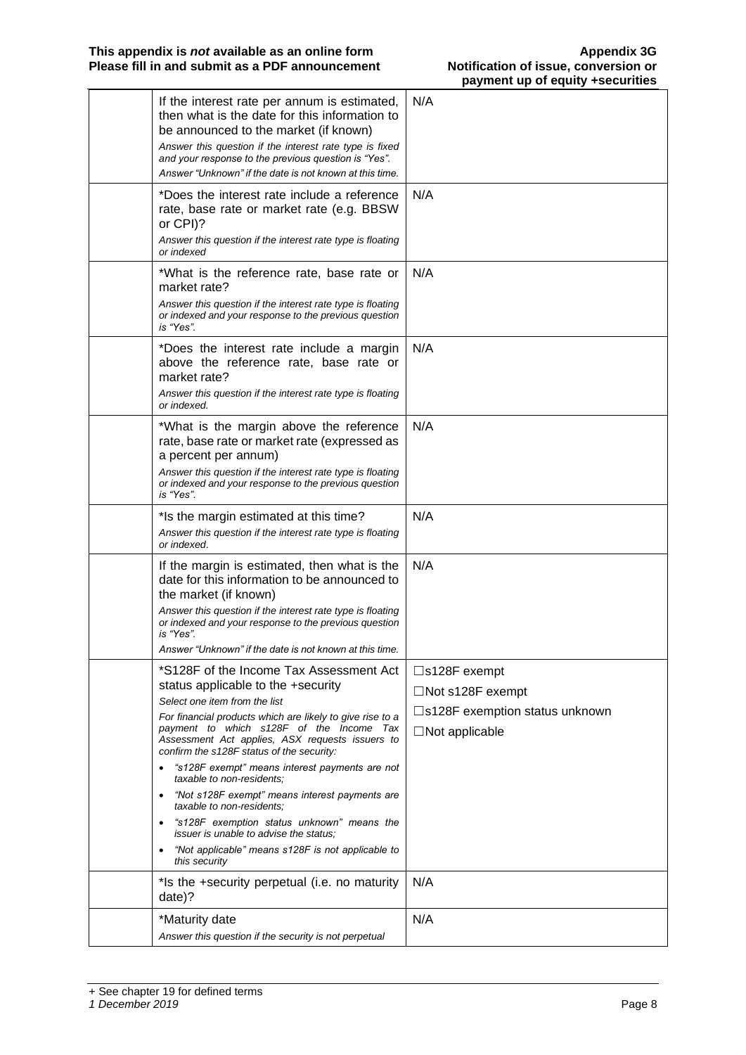| If the interest rate per annum is estimated,<br>then what is the date for this information to<br>be announced to the market (if known)<br>Answer this question if the interest rate type is fixed<br>and your response to the previous question is "Yes".<br>Answer "Unknown" if the date is not known at this time.                                                                                                                                                                                                                                                                                                                                                         | N/A                                                                                                                    |
|------------------------------------------------------------------------------------------------------------------------------------------------------------------------------------------------------------------------------------------------------------------------------------------------------------------------------------------------------------------------------------------------------------------------------------------------------------------------------------------------------------------------------------------------------------------------------------------------------------------------------------------------------------------------------|------------------------------------------------------------------------------------------------------------------------|
| *Does the interest rate include a reference<br>rate, base rate or market rate (e.g. BBSW<br>or CPI)?<br>Answer this question if the interest rate type is floating<br>or indexed                                                                                                                                                                                                                                                                                                                                                                                                                                                                                             | N/A                                                                                                                    |
| *What is the reference rate, base rate or<br>market rate?<br>Answer this question if the interest rate type is floating<br>or indexed and your response to the previous question<br>is "Yes".                                                                                                                                                                                                                                                                                                                                                                                                                                                                                | N/A                                                                                                                    |
| *Does the interest rate include a margin<br>above the reference rate, base rate or<br>market rate?<br>Answer this question if the interest rate type is floating<br>or indexed.                                                                                                                                                                                                                                                                                                                                                                                                                                                                                              | N/A                                                                                                                    |
| *What is the margin above the reference<br>rate, base rate or market rate (expressed as<br>a percent per annum)<br>Answer this question if the interest rate type is floating<br>or indexed and your response to the previous question<br>is "Yes".                                                                                                                                                                                                                                                                                                                                                                                                                          | N/A                                                                                                                    |
| *Is the margin estimated at this time?<br>Answer this question if the interest rate type is floating<br>or indexed.                                                                                                                                                                                                                                                                                                                                                                                                                                                                                                                                                          | N/A                                                                                                                    |
| If the margin is estimated, then what is the<br>date for this information to be announced to<br>the market (if known)<br>Answer this question if the interest rate type is floating<br>or indexed and your response to the previous question<br>is "Yes".<br>Answer "Unknown" if the date is not known at this time.                                                                                                                                                                                                                                                                                                                                                         | N/A                                                                                                                    |
| *S128F of the Income Tax Assessment Act<br>status applicable to the +security<br>Select one item from the list<br>For financial products which are likely to give rise to a<br>payment to which s128F of the Income Tax<br>Assessment Act applies, ASX requests issuers to<br>confirm the s128F status of the security:<br>"s128F exempt" means interest payments are not<br>taxable to non-residents:<br>"Not s128F exempt" means interest payments are<br>$\bullet$<br>taxable to non-residents;<br>"s128F exemption status unknown" means the<br>٠<br><i>issuer is unable to advise the status:</i><br>"Not applicable" means s128F is not applicable to<br>this security | $\square$ s128F exempt<br>$\Box$ Not s128F exempt<br>$\square$ s128F exemption status unknown<br>$\Box$ Not applicable |
| *Is the +security perpetual (i.e. no maturity<br>date)?                                                                                                                                                                                                                                                                                                                                                                                                                                                                                                                                                                                                                      | N/A                                                                                                                    |
| *Maturity date<br>Answer this question if the security is not perpetual                                                                                                                                                                                                                                                                                                                                                                                                                                                                                                                                                                                                      | N/A                                                                                                                    |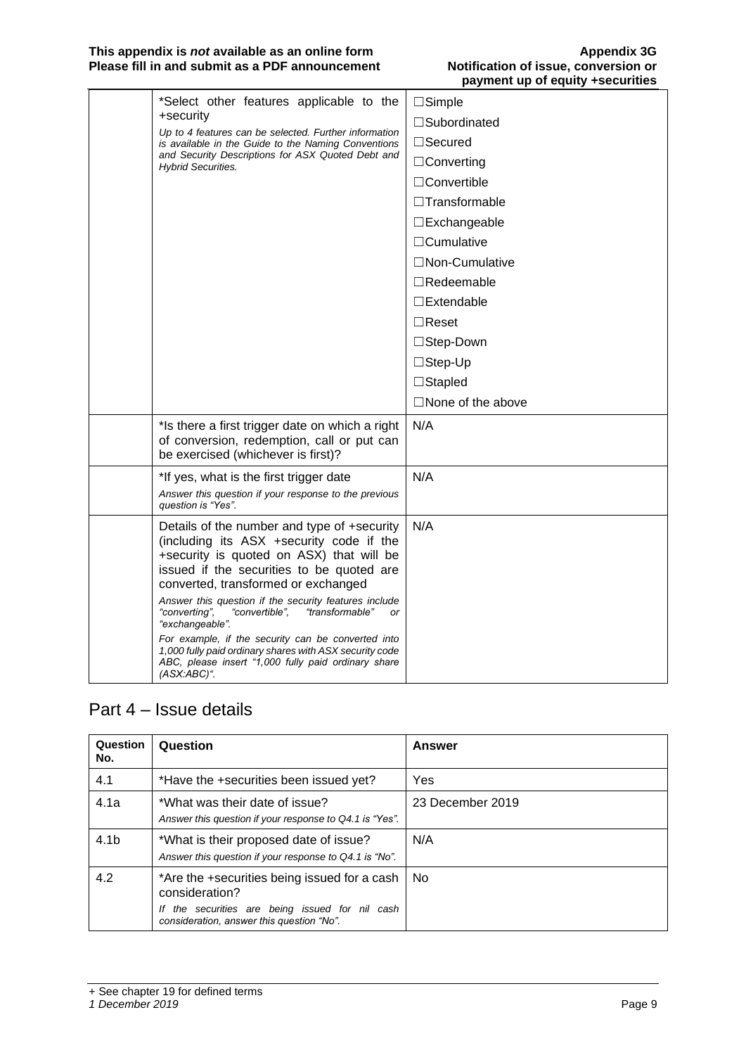#### **This appendix is** *not* **available as an online form Appendix 3G Please fill in and submit as a PDF announcement Notification of issue, conversion or**

| *Select other features applicable to the<br>+security                                                                                                                                                                                                                                                                                                                                                                                                                                                                                                  | $\Box$ Simple<br>□Subordinated |
|--------------------------------------------------------------------------------------------------------------------------------------------------------------------------------------------------------------------------------------------------------------------------------------------------------------------------------------------------------------------------------------------------------------------------------------------------------------------------------------------------------------------------------------------------------|--------------------------------|
| Up to 4 features can be selected. Further information<br>is available in the Guide to the Naming Conventions                                                                                                                                                                                                                                                                                                                                                                                                                                           | $\Box$ Secured                 |
| and Security Descriptions for ASX Quoted Debt and<br><b>Hybrid Securities.</b>                                                                                                                                                                                                                                                                                                                                                                                                                                                                         | $\Box$ Converting              |
|                                                                                                                                                                                                                                                                                                                                                                                                                                                                                                                                                        | $\Box$ Convertible             |
|                                                                                                                                                                                                                                                                                                                                                                                                                                                                                                                                                        | $\Box$ Transformable           |
|                                                                                                                                                                                                                                                                                                                                                                                                                                                                                                                                                        | $\square$ Exchangeable         |
|                                                                                                                                                                                                                                                                                                                                                                                                                                                                                                                                                        | $\Box$ Cumulative              |
|                                                                                                                                                                                                                                                                                                                                                                                                                                                                                                                                                        | □Non-Cumulative                |
|                                                                                                                                                                                                                                                                                                                                                                                                                                                                                                                                                        | $\Box$ Redeemable              |
|                                                                                                                                                                                                                                                                                                                                                                                                                                                                                                                                                        | $\square$ Extendable           |
|                                                                                                                                                                                                                                                                                                                                                                                                                                                                                                                                                        | $\Box$ Reset                   |
|                                                                                                                                                                                                                                                                                                                                                                                                                                                                                                                                                        | □Step-Down                     |
|                                                                                                                                                                                                                                                                                                                                                                                                                                                                                                                                                        | $\Box$ Step-Up                 |
|                                                                                                                                                                                                                                                                                                                                                                                                                                                                                                                                                        | $\Box$ Stapled                 |
|                                                                                                                                                                                                                                                                                                                                                                                                                                                                                                                                                        | $\square$ None of the above    |
| *Is there a first trigger date on which a right<br>of conversion, redemption, call or put can<br>be exercised (whichever is first)?                                                                                                                                                                                                                                                                                                                                                                                                                    | N/A                            |
| *If yes, what is the first trigger date<br>Answer this question if your response to the previous<br>question is "Yes".                                                                                                                                                                                                                                                                                                                                                                                                                                 | N/A                            |
| Details of the number and type of +security<br>(including its ASX +security code if the<br>+security is quoted on ASX) that will be<br>issued if the securities to be quoted are<br>converted, transformed or exchanged<br>Answer this question if the security features include<br>"converting",<br>"convertible",<br>"transformable"<br>or<br>"exchangeable".<br>For example, if the security can be converted into<br>1,000 fully paid ordinary shares with ASX security code<br>ABC, please insert "1,000 fully paid ordinary share<br>(ASX:ABC)". | N/A                            |

#### Part 4 – Issue details

| Question<br>No.  | Question                                                                                         | <b>Answer</b>    |
|------------------|--------------------------------------------------------------------------------------------------|------------------|
| 4.1              | *Have the +securities been issued yet?                                                           | Yes              |
| 4.1a             | *What was their date of issue?<br>Answer this question if your response to Q4.1 is "Yes".        | 23 December 2019 |
| 4.1 <sub>b</sub> | *What is their proposed date of issue?<br>Answer this question if your response to Q4.1 is "No". | N/A              |
| 4.2              | *Are the +securities being issued for a cash<br>consideration?                                   | No.              |
|                  | If the securities are being issued for nil cash<br>consideration, answer this question "No".     |                  |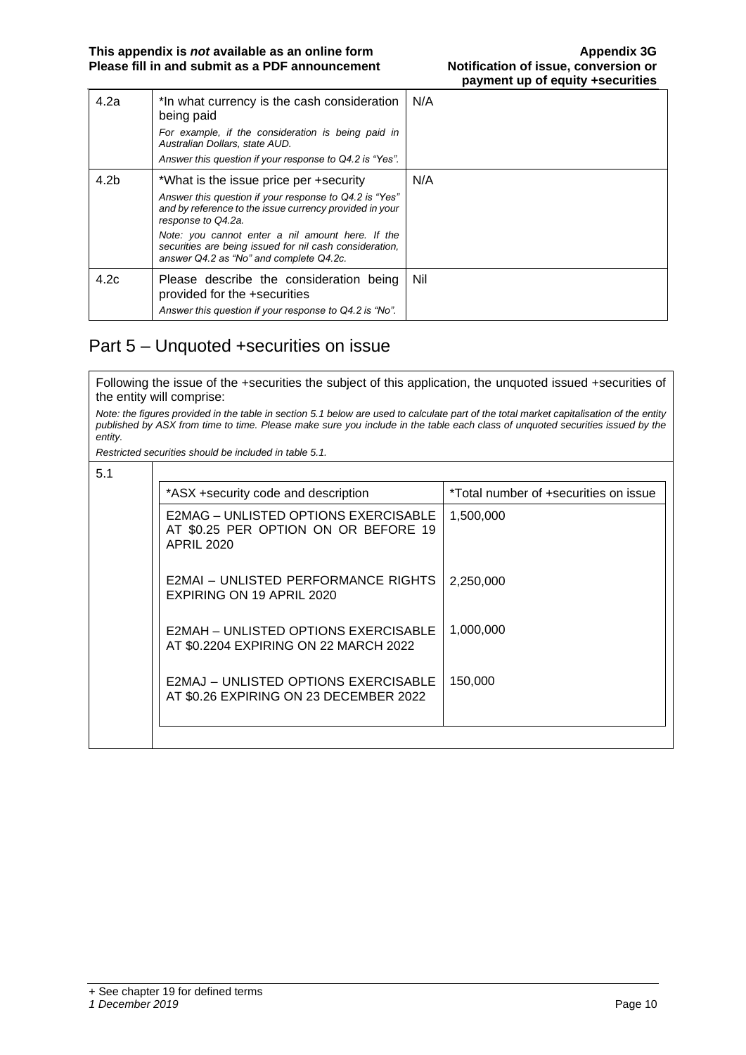| 4.2a             | *In what currency is the cash consideration<br>being paid<br>For example, if the consideration is being paid in<br>Australian Dollars, state AUD.<br>Answer this question if your response to Q4.2 is "Yes".                                                                                                                                | N/A |
|------------------|---------------------------------------------------------------------------------------------------------------------------------------------------------------------------------------------------------------------------------------------------------------------------------------------------------------------------------------------|-----|
| 4.2 <sub>b</sub> | *What is the issue price per +security<br>Answer this question if your response to Q4.2 is "Yes"<br>and by reference to the issue currency provided in your<br>response to Q4.2a.<br>Note: you cannot enter a nil amount here. If the<br>securities are being issued for nil cash consideration,<br>answer Q4.2 as "No" and complete Q4.2c. | N/A |
| 4.2c             | Please describe the consideration being<br>provided for the +securities<br>Answer this question if your response to Q4.2 is "No".                                                                                                                                                                                                           | Nil |

#### Part 5 – Unquoted +securities on issue

Following the issue of the +securities the subject of this application, the unquoted issued +securities of the entity will comprise:

*Note: the figures provided in the table in section 5.1 below are used to calculate part of the total market capitalisation of the entity published by ASX from time to time. Please make sure you include in the table each class of unquoted securities issued by the entity.*

*Restricted securities should be included in table 5.1.*

| 5.1 |                                                                                                   |                                       |
|-----|---------------------------------------------------------------------------------------------------|---------------------------------------|
|     | *ASX +security code and description                                                               | *Total number of +securities on issue |
|     | E2MAG – UNLISTED OPTIONS EXERCISABLE<br>AT \$0.25 PER OPTION ON OR BEFORE 19<br><b>APRIL 2020</b> | 1,500,000                             |
|     | E2MAI – UNLISTED PERFORMANCE RIGHTS<br>EXPIRING ON 19 APRIL 2020                                  | 2,250,000                             |
|     | E2MAH - UNLISTED OPTIONS EXERCISABLE<br>AT \$0.2204 EXPIRING ON 22 MARCH 2022                     | 1,000,000                             |
|     | E2MAJ - UNLISTED OPTIONS EXERCISABLE<br>AT \$0.26 EXPIRING ON 23 DECEMBER 2022                    | 150,000                               |
|     |                                                                                                   |                                       |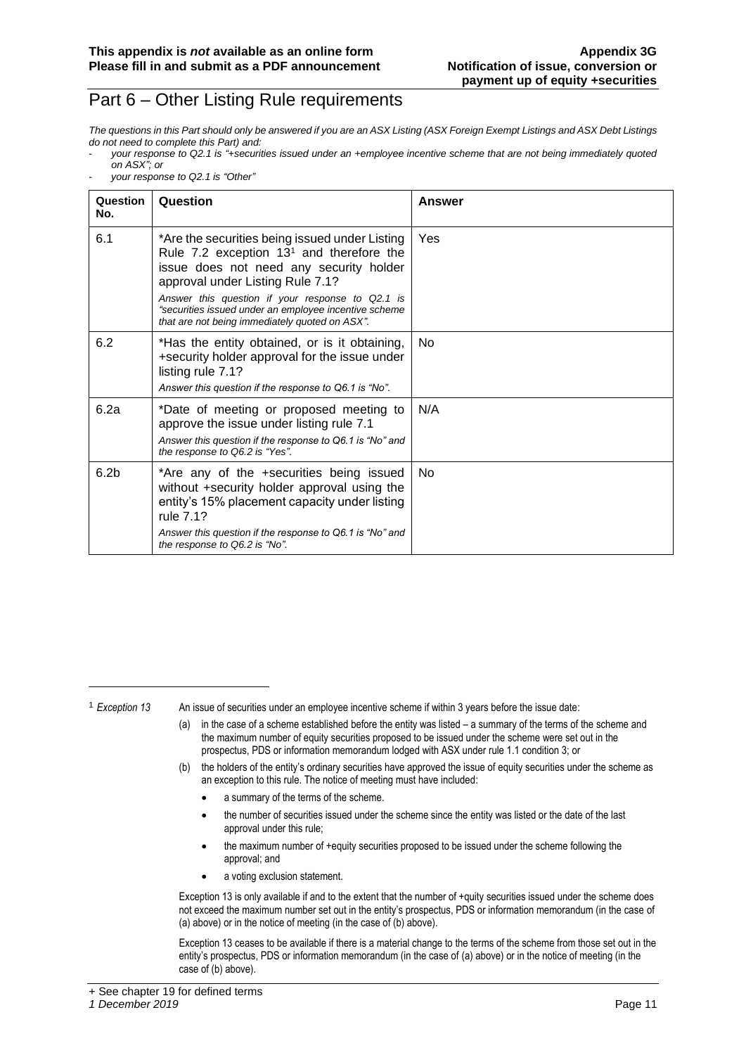#### Part 6 – Other Listing Rule requirements

*The questions in this Part should only be answered if you are an ASX Listing (ASX Foreign Exempt Listings and ASX Debt Listings do not need to complete this Part) and:*

- *your response to Q2.1 is "+securities issued under an +employee incentive scheme that are not being immediately quoted on ASX"; or*
- *your response to Q2.1 is "Other"*

| Question<br>No.  | Question                                                                                                                                                                                                                                                                                                                                   | Answer |
|------------------|--------------------------------------------------------------------------------------------------------------------------------------------------------------------------------------------------------------------------------------------------------------------------------------------------------------------------------------------|--------|
| 6.1              | *Are the securities being issued under Listing<br>Rule 7.2 exception $131$ and therefore the<br>issue does not need any security holder<br>approval under Listing Rule 7.1?<br>Answer this question if your response to Q2.1 is<br>"securities issued under an employee incentive scheme<br>that are not being immediately quoted on ASX". | Yes    |
| 6.2              | *Has the entity obtained, or is it obtaining,<br>+security holder approval for the issue under<br>listing rule 7.1?<br>Answer this question if the response to Q6.1 is "No".                                                                                                                                                               | No.    |
| 6.2a             | *Date of meeting or proposed meeting to<br>approve the issue under listing rule 7.1<br>Answer this question if the response to Q6.1 is "No" and<br>the response to Q6.2 is "Yes".                                                                                                                                                          | N/A    |
| 6.2 <sub>b</sub> | *Are any of the +securities being issued<br>without +security holder approval using the<br>entity's 15% placement capacity under listing<br>rule 7.1?<br>Answer this question if the response to Q6.1 is "No" and<br>the response to Q6.2 is "No".                                                                                         | No.    |

<sup>1</sup> *Exception 13* An issue of securities under an employee incentive scheme if within 3 years before the issue date:

- (a) in the case of a scheme established before the entity was listed a summary of the terms of the scheme and the maximum number of equity securities proposed to be issued under the scheme were set out in the prospectus, PDS or information memorandum lodged with ASX under rule 1.1 condition 3; or
- (b) the holders of the entity's ordinary securities have approved the issue of equity securities under the scheme as an exception to this rule. The notice of meeting must have included:
	- a summary of the terms of the scheme.
	- the number of securities issued under the scheme since the entity was listed or the date of the last approval under this rule;
	- the maximum number of +equity securities proposed to be issued under the scheme following the approval; and
	- a voting exclusion statement.

Exception 13 is only available if and to the extent that the number of +quity securities issued under the scheme does not exceed the maximum number set out in the entity's prospectus, PDS or information memorandum (in the case of (a) above) or in the notice of meeting (in the case of (b) above).

Exception 13 ceases to be available if there is a material change to the terms of the scheme from those set out in the entity's prospectus, PDS or information memorandum (in the case of (a) above) or in the notice of meeting (in the case of (b) above).